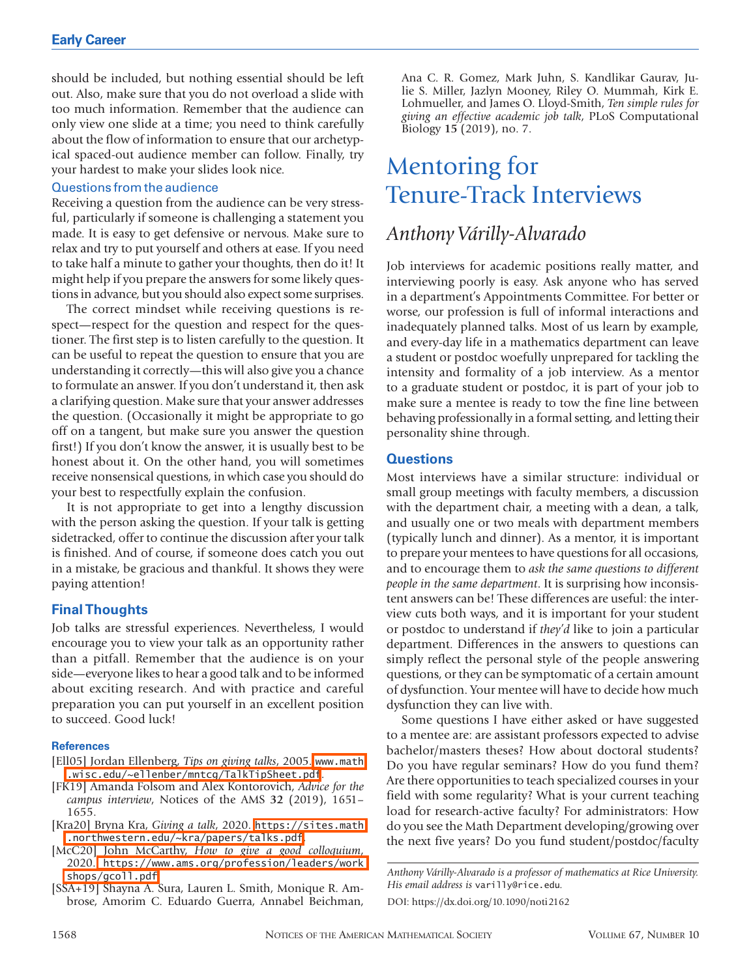should be included, but nothing essential should be left out. Also, make sure that you do not overload a slide with too much information. Remember that the audience can only view one slide at a time; you need to think carefully about the flow of information to ensure that our archetypical spaced-out audience member can follow. Finally, try your hardest to make your slides look nice.

#### Questions from the audience

Receiving a question from the audience can be very stressful, particularly if someone is challenging a statement you made. It is easy to get defensive or nervous. Make sure to relax and try to put yourself and others at ease. If you need to take half a minute to gather your thoughts, then do it! It might help if you prepare the answers for some likely questions in advance, but you should also expect some surprises.

The correct mindset while receiving questions is respect—respect for the question and respect for the questioner. The first step is to listen carefully to the question. It can be useful to repeat the question to ensure that you are understanding it correctly—this will also give you a chance to formulate an answer. If you don't understand it, then ask a clarifying question. Make sure that your answer addresses the question. (Occasionally it might be appropriate to go off on a tangent, but make sure you answer the question first!) If you don't know the answer, it is usually best to be honest about it. On the other hand, you will sometimes receive nonsensical questions, in which case you should do your best to respectfully explain the confusion.

It is not appropriate to get into a lengthy discussion with the person asking the question. If your talk is getting sidetracked, offer to continue the discussion after your talk is finished. And of course, if someone does catch you out in a mistake, be gracious and thankful. It shows they were paying attention!

#### **Final Thoughts**

Job talks are stressful experiences. Nevertheless, I would encourage you to view your talk as an opportunity rather than a pitfall. Remember that the audience is on your side—everyone likes to hear a good talk and to be informed about exciting research. And with practice and careful preparation you can put yourself in an excellent position to succeed. Good luck!

#### **References**

- [Ell05] Jordan Ellenberg, *Tips on giving talks*, 2005. [www.math](http://www.math.wisc.edu/~ellenber/mntcg/TalkTipSheet.pdf) [.wisc.edu/~ellenber/mntcg/TalkTipSheet.pdf](http://www.math.wisc.edu/~ellenber/mntcg/TalkTipSheet.pdf).
- [FK19] Amanda Folsom and Alex Kontorovich, *Advice for the campus interview*, Notices of the AMS **32** (2019), 1651– 1655.
- [Kra20] Bryna Kra, *Giving a talk*, 2020. [https://sites.math](https://sites.math.northwestern.edu/~kra/papers/talks.pdf) [.northwestern.edu/~kra/papers/talks.pdf](https://sites.math.northwestern.edu/~kra/papers/talks.pdf).
- [McC20] John McCarthy, *How to give a good colloquium*, 2020. [https://www.ams.org/profession/leaders/work](https://www.ams.org/profession/leaders/workshops/gcoll.pdf) [shops/gcoll.pdf](https://www.ams.org/profession/leaders/workshops/gcoll.pdf).
- [SSA+19] Shayna A. Sura, Lauren L. Smith, Monique R. Ambrose, Amorim C. Eduardo Guerra, Annabel Beichman,

Ana C. R. Gomez, Mark Juhn, S. Kandlikar Gaurav, Julie S. Miller, Jazlyn Mooney, Riley O. Mummah, Kirk E. Lohmueller, and James O. Lloyd-Smith, *Ten simple rules for giving an effective academic job talk*, PLoS Computational Biology **15** (2019), no. 7.

# Mentoring for Tenure-Track Interviews

## *Anthony Várilly-Alvarado*

Job interviews for academic positions really matter, and interviewing poorly is easy. Ask anyone who has served in a department's Appointments Committee. For better or worse, our profession is full of informal interactions and inadequately planned talks. Most of us learn by example, and every-day life in a mathematics department can leave a student or postdoc woefully unprepared for tackling the intensity and formality of a job interview. As a mentor to a graduate student or postdoc, it is part of your job to make sure a mentee is ready to tow the fine line between behaving professionally in a formal setting, and letting their personality shine through.

#### **Questions**

Most interviews have a similar structure: individual or small group meetings with faculty members, a discussion with the department chair, a meeting with a dean, a talk, and usually one or two meals with department members (typically lunch and dinner). As a mentor, it is important to prepare your mentees to have questions for all occasions, and to encourage them to *ask the same questions to different people in the same department*. It is surprising how inconsistent answers can be! These differences are useful: the interview cuts both ways, and it is important for your student or postdoc to understand if *they'd* like to join a particular department. Differences in the answers to questions can simply reflect the personal style of the people answering questions, or they can be symptomatic of a certain amount of dysfunction. Your mentee will have to decide how much dysfunction they can live with.

Some questions I have either asked or have suggested to a mentee are: are assistant professors expected to advise bachelor/masters theses? How about doctoral students? Do you have regular seminars? How do you fund them? Are there opportunities to teach specialized courses in your field with some regularity? What is your current teaching load for research-active faculty? For administrators: How do you see the Math Department developing/growing over the next five years? Do you fund student/postdoc/faculty

*Anthony Várilly-Alvarado is a professor of mathematics at Rice University. His email address is* varilly@rice.edu*.* DOI: https://dx.doi.org/10.1090/noti2162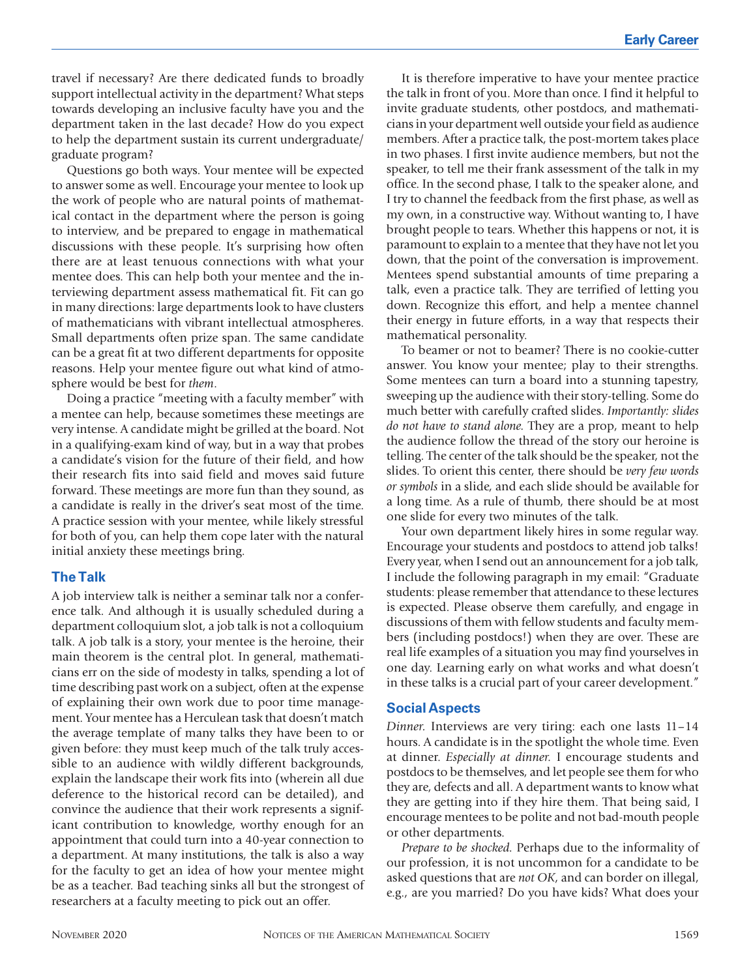travel if necessary? Are there dedicated funds to broadly support intellectual activity in the department? What steps towards developing an inclusive faculty have you and the department taken in the last decade? How do you expect to help the department sustain its current undergraduate/ graduate program?

Questions go both ways. Your mentee will be expected to answer some as well. Encourage your mentee to look up the work of people who are natural points of mathematical contact in the department where the person is going to interview, and be prepared to engage in mathematical discussions with these people. It's surprising how often there are at least tenuous connections with what your mentee does. This can help both your mentee and the interviewing department assess mathematical fit. Fit can go in many directions: large departments look to have clusters of mathematicians with vibrant intellectual atmospheres. Small departments often prize span. The same candidate can be a great fit at two different departments for opposite reasons. Help your mentee figure out what kind of atmosphere would be best for *them*.

Doing a practice "meeting with a faculty member" with a mentee can help, because sometimes these meetings are very intense. A candidate might be grilled at the board. Not in a qualifying-exam kind of way, but in a way that probes a candidate's vision for the future of their field, and how their research fits into said field and moves said future forward. These meetings are more fun than they sound, as a candidate is really in the driver's seat most of the time. A practice session with your mentee, while likely stressful for both of you, can help them cope later with the natural initial anxiety these meetings bring.

#### **The Talk**

A job interview talk is neither a seminar talk nor a conference talk. And although it is usually scheduled during a department colloquium slot, a job talk is not a colloquium talk. A job talk is a story, your mentee is the heroine, their main theorem is the central plot. In general, mathematicians err on the side of modesty in talks, spending a lot of time describing past work on a subject, often at the expense of explaining their own work due to poor time management. Your mentee has a Herculean task that doesn't match the average template of many talks they have been to or given before: they must keep much of the talk truly accessible to an audience with wildly different backgrounds, explain the landscape their work fits into (wherein all due deference to the historical record can be detailed), and convince the audience that their work represents a significant contribution to knowledge, worthy enough for an appointment that could turn into a 40-year connection to a department. At many institutions, the talk is also a way for the faculty to get an idea of how your mentee might be as a teacher. Bad teaching sinks all but the strongest of researchers at a faculty meeting to pick out an offer.

It is therefore imperative to have your mentee practice the talk in front of you. More than once. I find it helpful to invite graduate students, other postdocs, and mathematicians in your department well outside your field as audience members. After a practice talk, the post-mortem takes place in two phases. I first invite audience members, but not the speaker, to tell me their frank assessment of the talk in my office. In the second phase, I talk to the speaker alone, and I try to channel the feedback from the first phase, as well as my own, in a constructive way. Without wanting to, I have brought people to tears. Whether this happens or not, it is paramount to explain to a mentee that they have not let you down, that the point of the conversation is improvement. Mentees spend substantial amounts of time preparing a talk, even a practice talk. They are terrified of letting you down. Recognize this effort, and help a mentee channel their energy in future efforts, in a way that respects their mathematical personality.

To beamer or not to beamer? There is no cookie-cutter answer. You know your mentee; play to their strengths. Some mentees can turn a board into a stunning tapestry, sweeping up the audience with their story-telling. Some do much better with carefully crafted slides. *Importantly: slides do not have to stand alone.* They are a prop, meant to help the audience follow the thread of the story our heroine is telling. The center of the talk should be the speaker, not the slides. To orient this center, there should be *very few words or symbols* in a slide, and each slide should be available for a long time. As a rule of thumb, there should be at most one slide for every two minutes of the talk.

Your own department likely hires in some regular way. Encourage your students and postdocs to attend job talks! Every year, when I send out an announcement for a job talk, I include the following paragraph in my email: "Graduate students: please remember that attendance to these lectures is expected. Please observe them carefully, and engage in discussions of them with fellow students and faculty members (including postdocs!) when they are over. These are real life examples of a situation you may find yourselves in one day. Learning early on what works and what doesn't in these talks is a crucial part of your career development."

#### **Social Aspects**

*Dinner.* Interviews are very tiring: each one lasts 11–14 hours. A candidate is in the spotlight the whole time. Even at dinner. *Especially at dinner.* I encourage students and postdocs to be themselves, and let people see them for who they are, defects and all. A department wants to know what they are getting into if they hire them. That being said, I encourage mentees to be polite and not bad-mouth people or other departments.

*Prepare to be shocked.* Perhaps due to the informality of our profession, it is not uncommon for a candidate to be asked questions that are *not OK*, and can border on illegal, e.g., are you married? Do you have kids? What does your